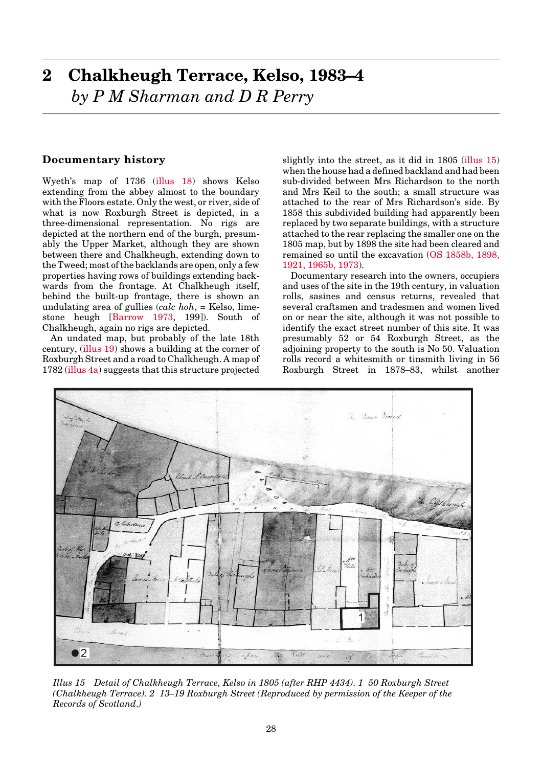# <span id="page-0-0"></span>**Documentary history**

Wyeth's map of 1736 [\(illus 18\)](#page-6-0) shows Kelso extending from the abbey almost to the boundary with the Floors estate. Only the west, or river, side of what is now Roxburgh Street is depicted, in a three-dimensional representation. No rigs are depicted at the northern end of the burgh, presumably the Upper Market, although they are shown between there and Chalkheugh, extending down to the Tweed; most of the backlands are open, only a few properties having rows of buildings extending backwards from the frontage. At Chalkheugh itself, behind the built-up frontage, there is shown an undulating area of gullies (*calc hoh*, = Kelso, limestone heugh [Barrow 1973, 199]). South of Chalkheugh, again no rigs are depicted.

An undated map, but probably of the late 18th century, (illus 19) shows a building at the corner of Roxburgh Street and a road to Chalkheugh. A map of 178[2 \(illus 4a\) s](#page-6-0)uggests that this structure projected

slightly into the street, as it did in 1805 (illus 15) when the house had a defined backland and had been sub-divided between Mrs Richardson to the north and Mrs Keil to the south; a small structure was attached to the rear of Mrs Richardson's side. By 1858 this subdivided building had apparently been replaced by two separate buildings, with a structure attached to the rear replacing the smaller one on the 1805 map, but by 1898 the site had been cleared and remained so until the excavatio[n \(OS 1858b, 1898,](#page-3-0) [1921, 1965b, 1973\).](#page-3-0)

Documentary research into the owners, occupiers and uses of the site in the 19th century, in valuation rolls, sasines and census returns, revealed that several craftsmen and tradesmen and women lived on or near the site, although it was not possible to identify the exact street number of this site. It was presumably 52 or 54 Roxburgh Street, as the adjoining property to the south is No 50. Valuation rolls record a whitesmith or tinsmith living in 56 Roxburgh Street in 1878–83, whilst another



*Illus 15 Detail of Chalkheugh Terrace, Kelso in 1805 (after RHP 4434). 1 50 Roxburgh Street (Chalkheugh Terrace). 2 13–19 Roxburgh Street (Reproduced by permission of the Keeper of the Records of Scotland.)*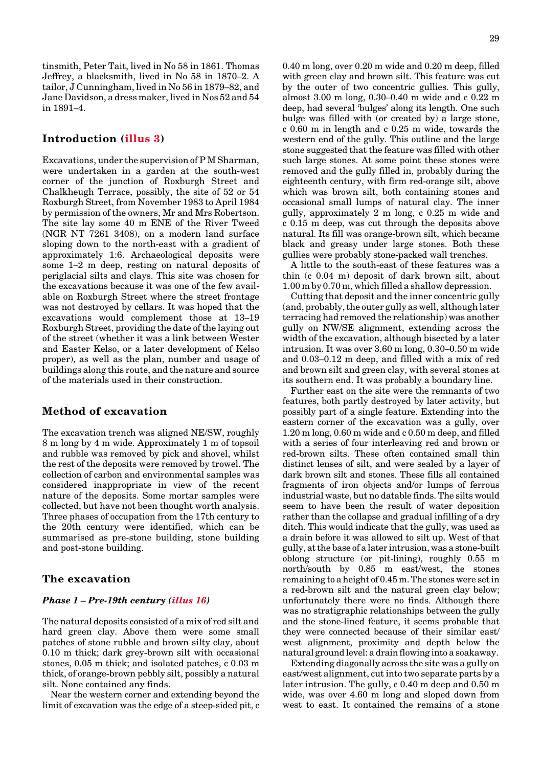tinsmith, Peter Tait, lived in No 58 in 1861. Thomas Jeffrey, a blacksmith, lived in No 58 in 1870–2. A tailor, J Cunningham, lived in No 56 in 1879–82, and Jane Davidson, a dress maker, lived in Nos 52 and 54 in 1891–4.

## **Introductio[n \(illus 3\)](#page-5-0)**

Excavations, under the supervision of P M Sharman, were undertaken in a garden at the south-west corner of the junction of Roxburgh Street and Chalkheugh Terrace, possibly, the site of 52 or 54 Roxburgh Street, from November 1983 to April 1984 by permission of the owners, Mr and Mrs Robertson. The site lay some 40 m ENE of the River Tweed (NGR NT 7261 3408), on a modern land surface sloping down to the north-east with a gradient of approximately 1:6. Archaeological deposits were some 1–2 m deep, resting on natural deposits of periglacial silts and clays. This site was chosen for the excavations because it was one of the few available on Roxburgh Street where the street frontage was not destroyed by cellars. It was hoped that the excavations would complement those at 13–19 Roxburgh Street, providing the date of the laying out of the street (whether it was a link between Wester and Easter Kelso, or a later development of Kelso proper), as well as the plan, number and usage of buildings along this route, and the nature and source of the materials used in their construction.

## **Method of excavation**

The excavation trench was aligned NE/SW, roughly 8 m long by 4 m wide. Approximately 1 m of topsoil and rubble was removed by pick and shovel, whilst the rest of the deposits were removed by trowel. The collection of carbon and environmental samples was considered inappropriate in view of the recent nature of the deposits. Some mortar samples were collected, but have not been thought worth analysis. Three phases of occupation from the 17th century to the 20th century were identified, which can be summarised as pre-stone building, stone building and post-stone building.

### **The excavation**

### *Phase 1 – Pre-19th centur[y \(illus 16\)](#page-2-0)*

The natural deposits consisted of a mix of red silt and hard green clay. Above them were some small patches of stone rubble and brown silty clay, about 0.10 m thick; dark grey-brown silt with occasional stones, 0.05 m thick; and isolated patches, c 0.03 m thick, of orange-brown pebbly silt, possibly a natural silt. None contained any finds.

Near the western corner and extending beyond the limit of excavation was the edge of a steep-sided pit, c 0.40 m long, over 0.20 m wide and 0.20 m deep, filled with green clay and brown silt. This feature was cut by the outer of two concentric gullies. This gully, almost 3.00 m long, 0.30–0.40 m wide and c 0.22 m deep, had several 'bulges' along its length. One such bulge was filled with (or created by) a large stone, c 0.60 m in length and c 0.25 m wide, towards the western end of the gully. This outline and the large stone suggested that the feature was filled with other such large stones. At some point these stones were removed and the gully filled in, probably during the eighteenth century, with firm red-orange silt, above which was brown silt, both containing stones and occasional small lumps of natural clay. The inner gully, approximately 2 m long, c 0.25 m wide and c 0.15 m deep, was cut through the deposits above natural. Its fill was orange-brown silt, which became black and greasy under large stones. Both these gullies were probably stone-packed wall trenches.

A little to the south-east of these features was a thin (c 0.04 m) deposit of dark brown silt, about 1.00 m by 0.70 m, which filled a shallow depression.

Cutting that deposit and the inner concentric gully (and, probably, the outer gully as well, although later terracing had removed the relationship) was another gully on NW/SE alignment, extending across the width of the excavation, although bisected by a later intrusion. It was over 3.60 m long, 0.30–0.50 m wide and 0.03–0.12 m deep, and filled with a mix of red and brown silt and green clay, with several stones at its southern end. It was probably a boundary line.

Further east on the site were the remnants of two features, both partly destroyed by later activity, but possibly part of a single feature. Extending into the eastern corner of the excavation was a gully, over 1.20 m long, 0.60 m wide and c 0.50 m deep, and filled with a series of four interleaving red and brown or red-brown silts. These often contained small thin distinct lenses of silt, and were sealed by a layer of dark brown silt and stones. These fills all contained fragments of iron objects and/or lumps of ferrous industrial waste, but no datable finds. The silts would seem to have been the result of water deposition rather than the collapse and gradual infilling of a dry ditch. This would indicate that the gully, was used as a drain before it was allowed to silt up. West of that gully, at the base of a later intrusion, was a stone-built oblong structure (or pit-lining), roughly 0.55 m north/south by 0.85 m east/west, the stones remaining to a height of 0.45 m. The stones were set in a red-brown silt and the natural green clay below; unfortunately there were no finds. Although there was no stratigraphic relationships between the gully and the stone-lined feature, it seems probable that they were connected because of their similar east/ west alignment, proximity and depth below the natural ground level: a drain flowing into a soakaway.

Extending diagonally across the site was a gully on east/west alignment, cut into two separate parts by a later intrusion. The gully, c 0.40 m deep and 0.50 m wide, was over 4.60 m long and sloped down from west to east. It contained the remains of a stone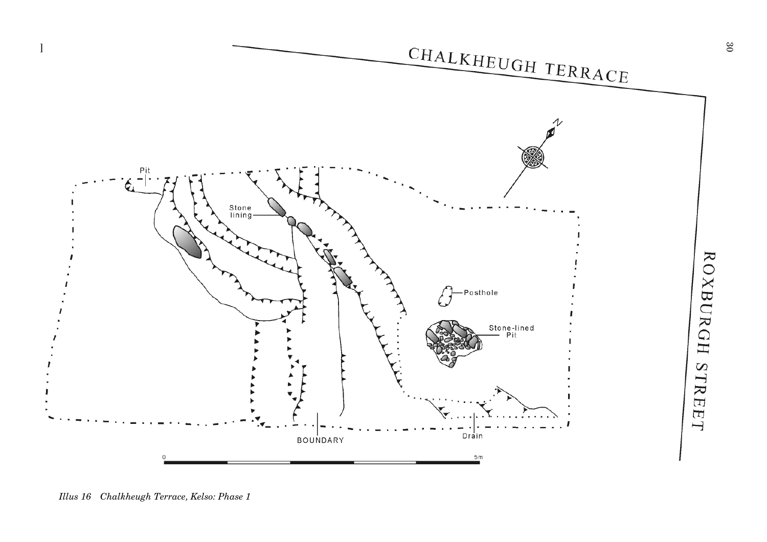<span id="page-2-0"></span>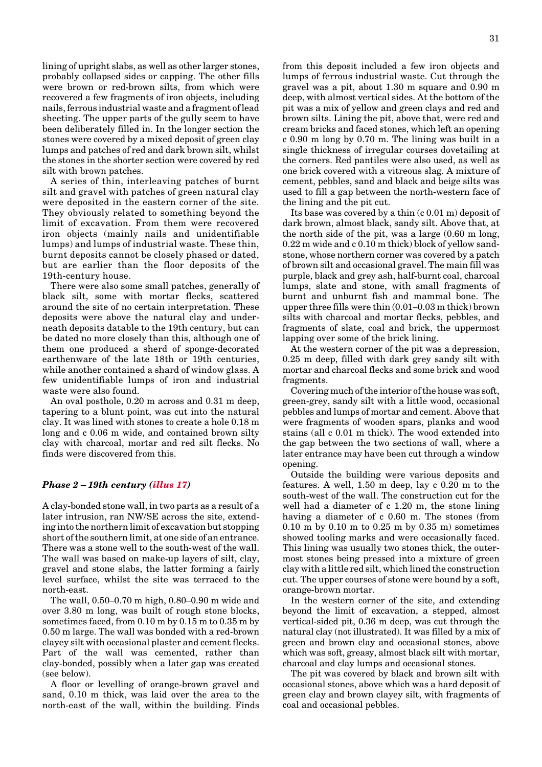<span id="page-3-0"></span>lining of upright slabs, as well as other larger stones, probably collapsed sides or capping. The other fills were brown or red-brown silts, from which were recovered a few fragments of iron objects, including nails, ferrous industrial waste and a fragment of lead sheeting. The upper parts of the gully seem to have been deliberately filled in. In the longer section the stones were covered by a mixed deposit of green clay lumps and patches of red and dark brown silt, whilst the stones in the shorter section were covered by red silt with brown patches.

A series of thin, interleaving patches of burnt silt and gravel with patches of green natural clay were deposited in the eastern corner of the site. They obviously related to something beyond the limit of excavation. From them were recovered iron objects (mainly nails and unidentifiable lumps) and lumps of industrial waste. These thin, burnt deposits cannot be closely phased or dated, but are earlier than the floor deposits of the 19th-century house.

There were also some small patches, generally of black silt, some with mortar flecks, scattered around the site of no certain interpretation. These deposits were above the natural clay and underneath deposits datable to the 19th century, but can be dated no more closely than this, although one of them one produced a sherd of sponge-decorated earthenware of the late 18th or 19th centuries, while another contained a shard of window glass. A few unidentifiable lumps of iron and industrial waste were also found.

An oval posthole, 0.20 m across and 0.31 m deep, tapering to a blunt point, was cut into the natural clay. It was lined with stones to create a hole 0.18 m long and c 0.06 m wide, and contained brown silty clay with charcoal, mortar and red silt flecks. No finds were discovered from this.

### *Phase 2 – 19th century [\(illus 17\)](#page-4-0)*

A clay-bonded stone wall, in two parts as a result of a later intrusion, ran NW/SE across the site, extending into the northern limit of excavation but stopping short of the southern limit, at one side of an entrance. There was a stone well to the south-west of the wall. The wall was based on make-up layers of silt, clay, gravel and stone slabs, the latter forming a fairly level surface, whilst the site was terraced to the north-east.

The wall, 0.50–0.70 m high, 0.80–0.90 m wide and over 3.80 m long, was built of rough stone blocks, sometimes faced, from 0.10 m by 0.15 m to 0.35 m by 0.50 m large. The wall was bonded with a red-brown clayey silt with occasional plaster and cement flecks. Part of the wall was cemented, rather than clay-bonded, possibly when a later gap was created (see below).

A floor or levelling of orange-brown gravel and sand, 0.10 m thick, was laid over the area to the north-east of the wall, within the building. Finds 31

from this deposit included a few iron objects and lumps of ferrous industrial waste. Cut through the gravel was a pit, about 1.30 m square and 0.90 m deep, with almost vertical sides. At the bottom of the pit was a mix of yellow and green clays and red and brown silts. Lining the pit, above that, were red and cream bricks and faced stones, which left an opening c 0.90 m long by 0.70 m. The lining was built in a single thickness of irregular courses dovetailing at the corners. Red pantiles were also used, as well as one brick covered with a vitreous slag. A mixture of cement, pebbles, sand and black and beige silts was used to fill a gap between the north-western face of the lining and the pit cut.

Its base was covered by a thin (c 0.01 m) deposit of dark brown, almost black, sandy silt. Above that, at the north side of the pit, was a large (0.60 m long, 0.22 m wide and c 0.10 m thick) block of yellow sandstone, whose northern corner was covered by a patch of brown silt and occasional gravel. The main fill was purple, black and grey ash, half-burnt coal, charcoal lumps, slate and stone, with small fragments of burnt and unburnt fish and mammal bone. The upper three fills were thin (0.01–0.03 m thick) brown silts with charcoal and mortar flecks, pebbles, and fragments of slate, coal and brick, the uppermost lapping over some of the brick lining.

At the western corner of the pit was a depression, 0.25 m deep, filled with dark grey sandy silt with mortar and charcoal flecks and some brick and wood fragments.

Covering much of the interior of the house was soft, green-grey, sandy silt with a little wood, occasional pebbles and lumps of mortar and cement. Above that were fragments of wooden spars, planks and wood stains (all c 0.01 m thick). The wood extended into the gap between the two sections of wall, where a later entrance may have been cut through a window opening.

Outside the building were various deposits and features. A well, 1.50 m deep, lay c 0.20 m to the south-west of the wall. The construction cut for the well had a diameter of c 1.20 m, the stone lining having a diameter of c 0.60 m. The stones (from 0.10 m by 0.10 m to 0.25 m by 0.35 m) sometimes showed tooling marks and were occasionally faced. This lining was usually two stones thick, the outermost stones being pressed into a mixture of green clay with a little red silt, which lined the construction cut. The upper courses of stone were bound by a soft, orange-brown mortar.

In the western corner of the site, and extending beyond the limit of excavation, a stepped, almost vertical-sided pit, 0.36 m deep, was cut through the natural clay (not illustrated). It was filled by a mix of green and brown clay and occasional stones, above which was soft, greasy, almost black silt with mortar, charcoal and clay lumps and occasional stones.

The pit was covered by black and brown silt with occasional stones, above which was a hard deposit of green clay and brown clayey silt, with fragments of coal and occasional pebbles.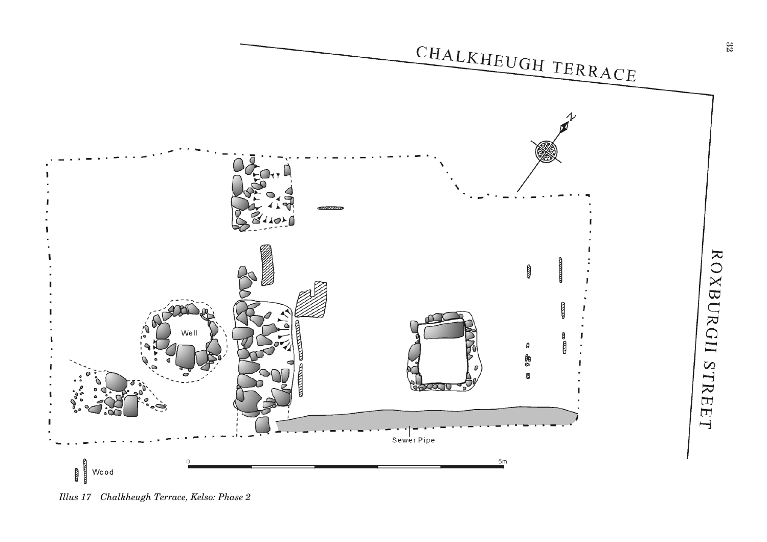<span id="page-4-0"></span>

*Illus 17 Chalkheugh Terrace, Kelso: Phase 2*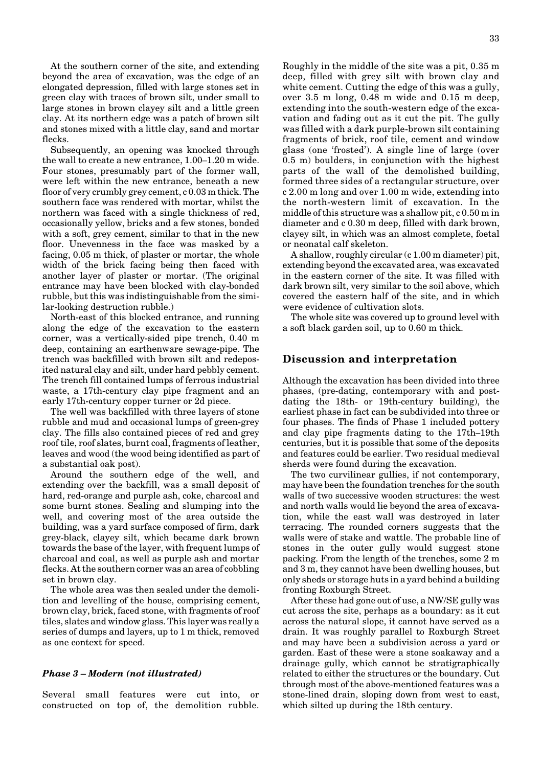<span id="page-5-0"></span>At the southern corner of the site, and extending beyond the area of excavation, was the edge of an elongated depression, filled with large stones set in green clay with traces of brown silt, under small to large stones in brown clayey silt and a little green clay. At its northern edge was a patch of brown silt and stones mixed with a little clay, sand and mortar flecks.

Subsequently, an opening was knocked through the wall to create a new entrance, 1.00–1.20 m wide. Four stones, presumably part of the former wall, were left within the new entrance, beneath a new floor of very crumbly grey cement, c 0.03 m thick. The southern face was rendered with mortar, whilst the northern was faced with a single thickness of red, occasionally yellow, bricks and a few stones, bonded with a soft, grey cement, similar to that in the new floor. Unevenness in the face was masked by a facing, 0.05 m thick, of plaster or mortar, the whole width of the brick facing being then faced with another layer of plaster or mortar. (The original entrance may have been blocked with clay-bonded rubble, but this was indistinguishable from the similar-looking destruction rubble.)

North-east of this blocked entrance, and running along the edge of the excavation to the eastern corner, was a vertically-sided pipe trench, 0.40 m deep, containing an earthenware sewage-pipe. The trench was backfilled with brown silt and redeposited natural clay and silt, under hard pebbly cement. The trench fill contained lumps of ferrous industrial waste, a 17th-century clay pipe fragment and an early 17th-century copper turner or 2d piece.

The well was backfilled with three layers of stone rubble and mud and occasional lumps of green-grey clay. The fills also contained pieces of red and grey roof tile, roof slates, burnt coal, fragments of leather, leaves and wood (the wood being identified as part of a substantial oak post).

Around the southern edge of the well, and extending over the backfill, was a small deposit of hard, red-orange and purple ash, coke, charcoal and some burnt stones. Sealing and slumping into the well, and covering most of the area outside the building, was a yard surface composed of firm, dark grey-black, clayey silt, which became dark brown towards the base of the layer, with frequent lumps of charcoal and coal, as well as purple ash and mortar flecks. At the southern corner was an area of cobbling set in brown clay.

The whole area was then sealed under the demolition and levelling of the house, comprising cement, brown clay, brick, faced stone, with fragments of roof tiles, slates and window glass. This layer was really a series of dumps and layers, up to 1 m thick, removed as one context for speed.

#### *Phase 3 – Modern (not illustrated)*

Several small features were cut into, or constructed on top of, the demolition rubble. Roughly in the middle of the site was a pit, 0.35 m deep, filled with grey silt with brown clay and white cement. Cutting the edge of this was a gully, over 3.5 m long, 0.48 m wide and 0.15 m deep, extending into the south-western edge of the excavation and fading out as it cut the pit. The gully was filled with a dark purple-brown silt containing fragments of brick, roof tile, cement and window glass (one 'frosted'). A single line of large (over 0.5 m) boulders, in conjunction with the highest parts of the wall of the demolished building, formed three sides of a rectangular structure, over c 2.00 m long and over 1.00 m wide, extending into the north-western limit of excavation. In the middle of this structure was a shallow pit, c 0.50 m in diameter and c 0.30 m deep, filled with dark brown, clayey silt, in which was an almost complete, foetal or neonatal calf skeleton.

A shallow, roughly circular (c 1.00 m diameter) pit, extending beyond the excavated area, was excavated in the eastern corner of the site. It was filled with dark brown silt, very similar to the soil above, which covered the eastern half of the site, and in which were evidence of cultivation slots.

The whole site was covered up to ground level with a soft black garden soil, up to 0.60 m thick.

# **Discussion and interpretation**

Although the excavation has been divided into three phases, (pre-dating, contemporary with and postdating the 18th- or 19th-century building), the earliest phase in fact can be subdivided into three or four phases. The finds of Phase 1 included pottery and clay pipe fragments dating to the 17th–19th centuries, but it is possible that some of the deposits and features could be earlier. Two residual medieval sherds were found during the excavation.

The two curvilinear gullies, if not contemporary, may have been the foundation trenches for the south walls of two successive wooden structures: the west and north walls would lie beyond the area of excavation, while the east wall was destroyed in later terracing. The rounded corners suggests that the walls were of stake and wattle. The probable line of stones in the outer gully would suggest stone packing. From the length of the trenches, some 2 m and 3 m, they cannot have been dwelling houses, but only sheds or storage huts in a yard behind a building fronting Roxburgh Street.

After these had gone out of use, a NW/SE gully was cut across the site, perhaps as a boundary: as it cut across the natural slope, it cannot have served as a drain. It was roughly parallel to Roxburgh Street and may have been a subdivision across a yard or garden. East of these were a stone soakaway and a drainage gully, which cannot be stratigraphically related to either the structures or the boundary. Cut through most of the above-mentioned features was a stone-lined drain, sloping down from west to east, which silted up during the 18th century.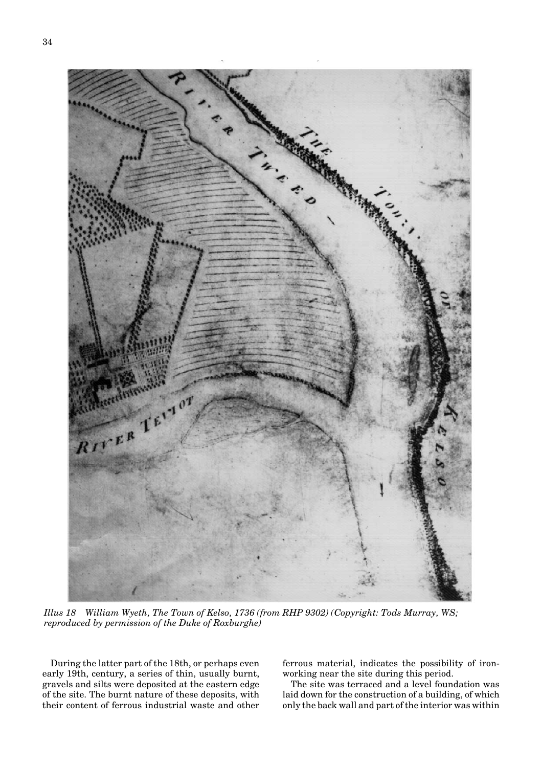<span id="page-6-0"></span>

*Illus 18 William Wyeth, The Town of Kelso, 1736 (from RHP 9302) (Copyright: Tods Murray, WS; reproduced by permission of the Duke of Roxburghe)*

During the latter part of the 18th, or perhaps even early 19th, century, a series of thin, usually burnt, gravels and silts were deposited at the eastern edge of the site. The burnt nature of these deposits, with their content of ferrous industrial waste and other ferrous material, indicates the possibility of ironworking near the site during this period.

The site was terraced and a level foundation was laid down for the construction of a building, of which only the back wall and part of the interior was within